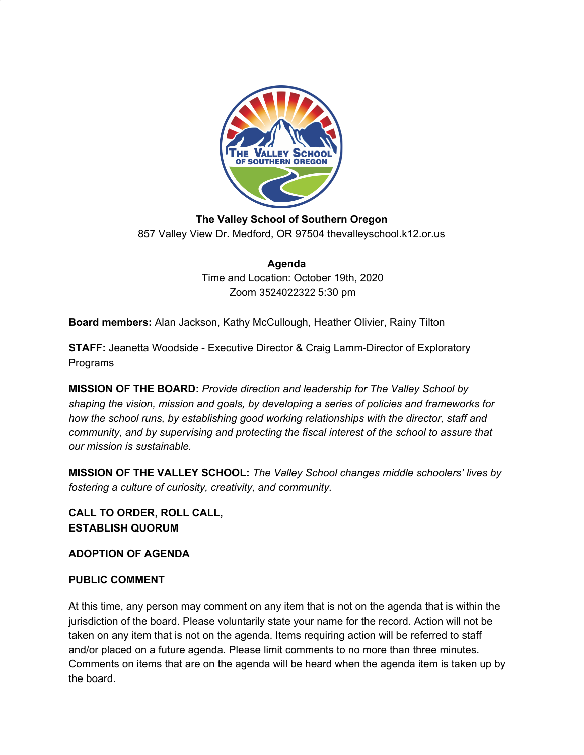

**The Valley School of Southern Oregon** 857 Valley View Dr. Medford, OR 97504 thevalleyschool.k12.or.us

> **Agenda** Time and Location: October 19th, 2020 Zoom 3524022322 5:30 pm

**Board members:** Alan Jackson, Kathy McCullough, Heather Olivier, Rainy Tilton

**STAFF:** Jeanetta Woodside - Executive Director & Craig Lamm-Director of Exploratory Programs

**MISSION OF THE BOARD:** *Provide direction and leadership for The Valley School by shaping the vision, mission and goals, by developing a series of policies and frameworks for how the school runs, by establishing good working relationships with the director, staff and community, and by supervising and protecting the fiscal interest of the school to assure that our mission is sustainable.*

**MISSION OF THE VALLEY SCHOOL:** *The Valley School changes middle schoolers' lives by fostering a culture of curiosity, creativity, and community.*

**CALL TO ORDER, ROLL CALL, ESTABLISH QUORUM**

**ADOPTION OF AGENDA**

#### **PUBLIC COMMENT**

At this time, any person may comment on any item that is not on the agenda that is within the jurisdiction of the board. Please voluntarily state your name for the record. Action will not be taken on any item that is not on the agenda. Items requiring action will be referred to staff and/or placed on a future agenda. Please limit comments to no more than three minutes. Comments on items that are on the agenda will be heard when the agenda item is taken up by the board.